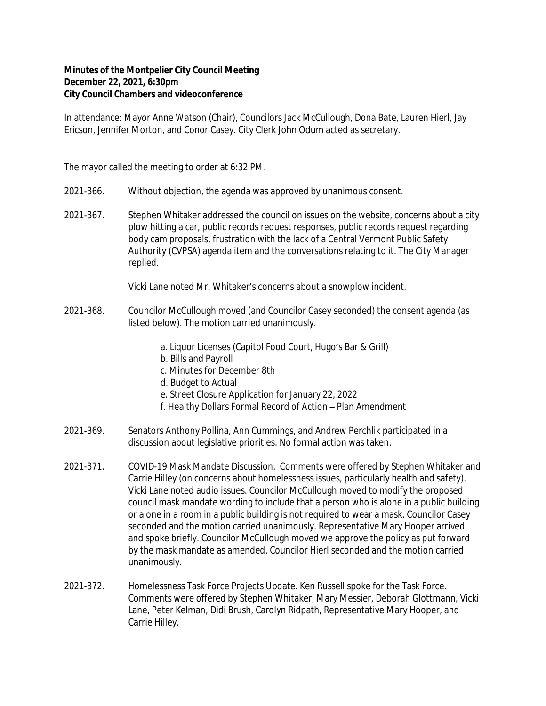## **Minutes of the Montpelier City Council Meeting December 22, 2021, 6:30pm City Council Chambers and videoconference**

In attendance: Mayor Anne Watson (Chair), Councilors Jack McCullough, Dona Bate, Lauren Hierl, Jay Ericson, Jennifer Morton, and Conor Casey. City Clerk John Odum acted as secretary.

The mayor called the meeting to order at 6:32 PM.

- 2021-366. Without objection, the agenda was approved by unanimous consent.
- 2021-367. Stephen Whitaker addressed the council on issues on the website, concerns about a city plow hitting a car, public records request responses, public records request regarding body cam proposals, frustration with the lack of a Central Vermont Public Safety Authority (CVPSA) agenda item and the conversations relating to it. The City Manager replied.

Vicki Lane noted Mr. Whitaker's concerns about a snowplow incident.

- 2021-368. Councilor McCullough moved (and Councilor Casey seconded) the consent agenda (as listed below). The motion carried unanimously.
	- a. Liquor Licenses (Capitol Food Court, Hugo's Bar & Grill)
	- b. Bills and Payroll
	- c. Minutes for December 8th
	- d. Budget to Actual
	- e. Street Closure Application for January 22, 2022
	- f. Healthy Dollars Formal Record of Action Plan Amendment
- 2021-369. Senators Anthony Pollina, Ann Cummings, and Andrew Perchlik participated in a discussion about legislative priorities. No formal action was taken.
- 2021-371. COVID-19 Mask Mandate Discussion. Comments were offered by Stephen Whitaker and Carrie Hilley (on concerns about homelessness issues, particularly health and safety). Vicki Lane noted audio issues. Councilor McCullough moved to modify the proposed council mask mandate wording to include that a person who is alone in a public building or alone in a room in a public building is not required to wear a mask. Councilor Casey seconded and the motion carried unanimously. Representative Mary Hooper arrived and spoke briefly. Councilor McCullough moved we approve the policy as put forward by the mask mandate as amended. Councilor Hierl seconded and the motion carried unanimously.
- 2021-372. Homelessness Task Force Projects Update. Ken Russell spoke for the Task Force. Comments were offered by Stephen Whitaker, Mary Messier, Deborah Glottmann, Vicki Lane, Peter Kelman, Didi Brush, Carolyn Ridpath, Representative Mary Hooper, and Carrie Hilley.